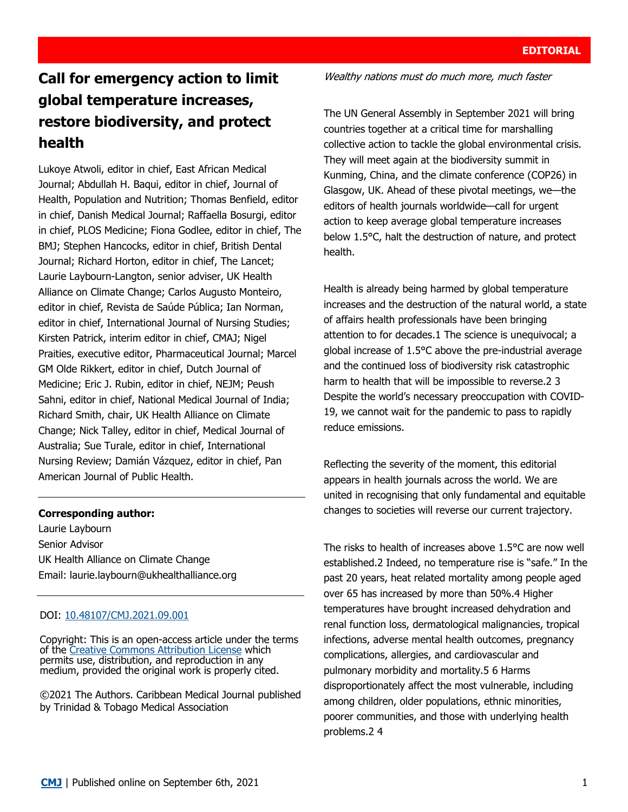# **Call for emergency action to limit global temperature increases, restore biodiversity, and protect health**

Lukoye Atwoli, editor in chief, East African Medical Journal; Abdullah H. Baqui, editor in chief, Journal of Health, Population and Nutrition; Thomas Benfield, editor in chief, Danish Medical Journal; Raffaella Bosurgi, editor in chief, PLOS Medicine; Fiona Godlee, editor in chief, The BMJ; Stephen Hancocks, editor in chief, British Dental Journal; Richard Horton, editor in chief, The Lancet; Laurie Laybourn-Langton, senior adviser, UK Health Alliance on Climate Change; Carlos Augusto Monteiro, editor in chief, Revista de Saúde Pública; Ian Norman, editor in chief, International Journal of Nursing Studies; Kirsten Patrick, interim editor in chief, CMAJ; Nigel Praities, executive editor, Pharmaceutical Journal; Marcel GM Olde Rikkert, editor in chief, Dutch Journal of Medicine; Eric J. Rubin, editor in chief, NEJM; Peush Sahni, editor in chief, National Medical Journal of India; Richard Smith, chair, UK Health Alliance on Climate Change; Nick Talley, editor in chief, Medical Journal of Australia; Sue Turale, editor in chief, International Nursing Review; Damián Vázquez, editor in chief, Pan American Journal of Public Health.

### **Corresponding author:**

Laurie Laybourn Senior Advisor UK Health Alliance on Climate Change Email: [laurie.laybourn@ukhealthalliance.org](mailto:laurie.laybourn@ukhealthalliance.org)

### DOI: [10.48107/CMJ.2021.09.001](https://doi.org/10.48107/CMJ.2021.09.001)

Copyright: This is an open-access article under the terms of the [Creative Commons Attribution License](https://creativecommons.org/licenses/by/4.0/) which permits use, distribution, and reproduction in any medium, provided the original work is properly cited.

©2021 The Authors. Caribbean Medical Journal published by Trinidad & Tobago Medical Association

Wealthy nations must do much more, much faster

The UN General Assembly in September 2021 will bring countries together at a critical time for marshalling collective action to tackle the global environmental crisis. They will meet again at the biodiversity summit in Kunming, China, and the climate conference (COP26) in Glasgow, UK. Ahead of these pivotal meetings, we—the editors of health journals worldwide—call for urgent action to keep average global temperature increases below 1.5°C, halt the destruction of nature, and protect health.

Health is already being harmed by global temperature increases and the destruction of the natural world, a state of affairs health professionals have been bringing attention to for decades.1 The science is unequivocal; a global increase of 1.5°C above the pre-industrial average and the continued loss of biodiversity risk catastrophic harm to health that will be impossible to reverse.2 3 Despite the world's necessary preoccupation with COVID-19, we cannot wait for the pandemic to pass to rapidly reduce emissions.

Reflecting the severity of the moment, this editorial appears in health journals across the world. We are united in recognising that only fundamental and equitable changes to societies will reverse our current trajectory.

The risks to health of increases above 1.5°C are now well established.2 Indeed, no temperature rise is "safe." In the past 20 years, heat related mortality among people aged over 65 has increased by more than 50%.4 Higher temperatures have brought increased dehydration and renal function loss, dermatological malignancies, tropical infections, adverse mental health outcomes, pregnancy complications, allergies, and cardiovascular and pulmonary morbidity and mortality.5 6 Harms disproportionately affect the most vulnerable, including among children, older populations, ethnic minorities, poorer communities, and those with underlying health problems.2 4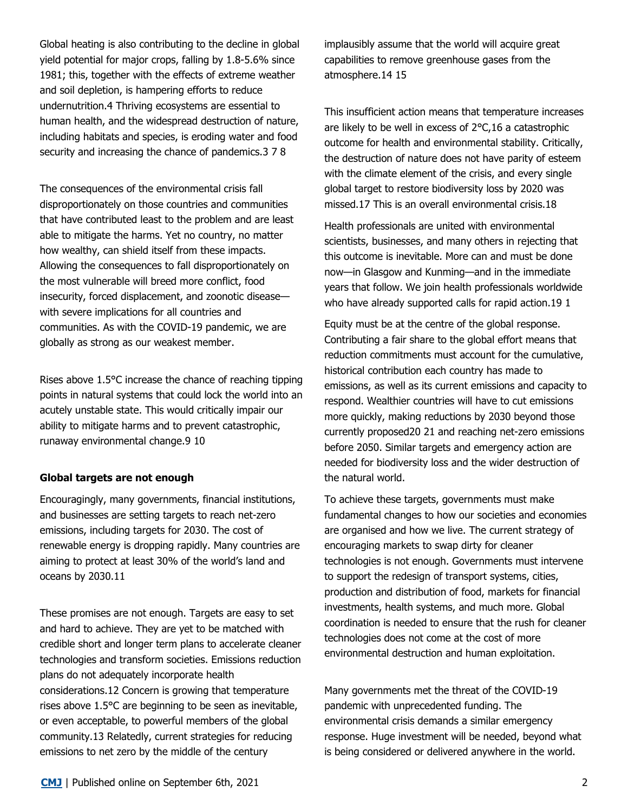Global heating is also contributing to the decline in global yield potential for major crops, falling by 1.8-5.6% since 1981; this, together with the effects of extreme weather and soil depletion, is hampering efforts to reduce undernutrition.4 Thriving ecosystems are essential to human health, and the widespread destruction of nature, including habitats and species, is eroding water and food security and increasing the chance of pandemics.3 7 8

The consequences of the environmental crisis fall disproportionately on those countries and communities that have contributed least to the problem and are least able to mitigate the harms. Yet no country, no matter how wealthy, can shield itself from these impacts. Allowing the consequences to fall disproportionately on the most vulnerable will breed more conflict, food insecurity, forced displacement, and zoonotic disease with severe implications for all countries and communities. As with the COVID-19 pandemic, we are globally as strong as our weakest member.

Rises above 1.5°C increase the chance of reaching tipping points in natural systems that could lock the world into an acutely unstable state. This would critically impair our ability to mitigate harms and to prevent catastrophic, runaway environmental change.9 10

### **Global targets are not enough**

Encouragingly, many governments, financial institutions, and businesses are setting targets to reach net-zero emissions, including targets for 2030. The cost of renewable energy is dropping rapidly. Many countries are aiming to protect at least 30% of the world's land and oceans by 2030.11

These promises are not enough. Targets are easy to set and hard to achieve. They are yet to be matched with credible short and longer term plans to accelerate cleaner technologies and transform societies. Emissions reduction plans do not adequately incorporate health considerations.12 Concern is growing that temperature rises above 1.5°C are beginning to be seen as inevitable, or even acceptable, to powerful members of the global community.13 Relatedly, current strategies for reducing emissions to net zero by the middle of the century

implausibly assume that the world will acquire great capabilities to remove greenhouse gases from the atmosphere.14 15

This insufficient action means that temperature increases are likely to be well in excess of 2°C,16 a catastrophic outcome for health and environmental stability. Critically, the destruction of nature does not have parity of esteem with the climate element of the crisis, and every single global target to restore biodiversity loss by 2020 was missed.17 This is an overall environmental crisis.18

Health professionals are united with environmental scientists, businesses, and many others in rejecting that this outcome is inevitable. More can and must be done now—in Glasgow and Kunming—and in the immediate years that follow. We join health professionals worldwide who have already supported calls for rapid action.19 1

Equity must be at the centre of the global response. Contributing a fair share to the global effort means that reduction commitments must account for the cumulative, historical contribution each country has made to emissions, as well as its current emissions and capacity to respond. Wealthier countries will have to cut emissions more quickly, making reductions by 2030 beyond those currently proposed20 21 and reaching net-zero emissions before 2050. Similar targets and emergency action are needed for biodiversity loss and the wider destruction of the natural world.

To achieve these targets, governments must make fundamental changes to how our societies and economies are organised and how we live. The current strategy of encouraging markets to swap dirty for cleaner technologies is not enough. Governments must intervene to support the redesign of transport systems, cities, production and distribution of food, markets for financial investments, health systems, and much more. Global coordination is needed to ensure that the rush for cleaner technologies does not come at the cost of more environmental destruction and human exploitation.

Many governments met the threat of the COVID-19 pandemic with unprecedented funding. The environmental crisis demands a similar emergency response. Huge investment will be needed, beyond what is being considered or delivered anywhere in the world.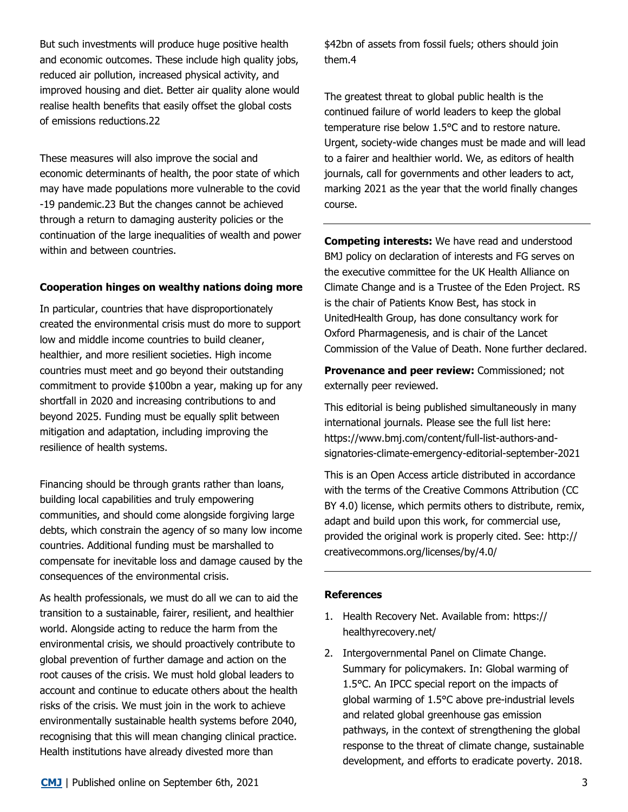But such investments will produce huge positive health and economic outcomes. These include high quality jobs, reduced air pollution, increased physical activity, and improved housing and diet. Better air quality alone would realise health benefits that easily offset the global costs of emissions reductions.22

These measures will also improve the social and economic determinants of health, the poor state of which may have made populations more vulnerable to the covid -19 pandemic.23 But the changes cannot be achieved through a return to damaging austerity policies or the continuation of the large inequalities of wealth and power within and between countries.

## **Cooperation hinges on wealthy nations doing more**

In particular, countries that have disproportionately created the environmental crisis must do more to support low and middle income countries to build cleaner, healthier, and more resilient societies. High income countries must meet and go beyond their outstanding commitment to provide \$100bn a year, making up for any shortfall in 2020 and increasing contributions to and beyond 2025. Funding must be equally split between mitigation and adaptation, including improving the resilience of health systems.

Financing should be through grants rather than loans, building local capabilities and truly empowering communities, and should come alongside forgiving large debts, which constrain the agency of so many low income countries. Additional funding must be marshalled to compensate for inevitable loss and damage caused by the consequences of the environmental crisis.

As health professionals, we must do all we can to aid the transition to a sustainable, fairer, resilient, and healthier world. Alongside acting to reduce the harm from the environmental crisis, we should proactively contribute to global prevention of further damage and action on the root causes of the crisis. We must hold global leaders to account and continue to educate others about the health risks of the crisis. We must join in the work to achieve environmentally sustainable health systems before 2040, recognising that this will mean changing clinical practice. Health institutions have already divested more than

\$42bn of assets from fossil fuels; others should join them.4

The greatest threat to global public health is the continued failure of world leaders to keep the global temperature rise below 1.5°C and to restore nature. Urgent, society-wide changes must be made and will lead to a fairer and healthier world. We, as editors of health journals, call for governments and other leaders to act, marking 2021 as the year that the world finally changes course.

**Competing interests:** We have read and understood BMJ policy on declaration of interests and FG serves on the executive committee for the UK Health Alliance on Climate Change and is a Trustee of the Eden Project. RS is the chair of Patients Know Best, has stock in UnitedHealth Group, has done consultancy work for Oxford Pharmagenesis, and is chair of the Lancet Commission of the Value of Death. None further declared.

**Provenance and peer review:** Commissioned; not externally peer reviewed.

This editorial is being published simultaneously in many international journals. Please see the full list here: [https://www.bmj.com/content/full](https://www.bmj.com/content/full-list-authors-and-signatories-climate-emergency-editorial-september-2021)-list-authors-andsignatories-climate-[emergency](https://www.bmj.com/content/full-list-authors-and-signatories-climate-emergency-editorial-september-2021)-editorial-september-2021

This is an Open Access article distributed in accordance with the terms of the Creative Commons Attribution (CC BY 4.0) license, which permits others to distribute, remix, adapt and build upon this work, for commercial use, provided the original work is properly cited. See: [http://](http://creativecommons.org/licenses/by/4.0/) [creativecommons.org/licenses/by/4.0/](http://creativecommons.org/licenses/by/4.0/) 

### **References**

- 1. Health Recovery Net. Available from: [https://](https://healthyrecovery.net/) [healthyrecovery.net/](https://healthyrecovery.net/)
- 2. Intergovernmental Panel on Climate Change. Summary for policymakers. In: Global warming of 1.5°C. An IPCC special report on the impacts of global warming of 1.5°C above pre-industrial levels and related global greenhouse gas emission pathways, in the context of strengthening the global response to the threat of climate change, sustainable development, and efforts to eradicate poverty. 2018.